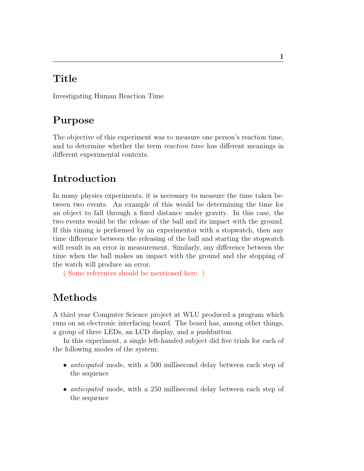### Title

Investigating Human Reaction Time

## Purpose

The objective of this experiment was to measure one person's reaction time, and to determine whether the term reaction time has different meanings in different experimental contexts.

# Introduction

In many physics experiments, it is necessary to measure the time taken between two events. An example of this would be determining the time for an object to fall through a fixed distance under gravity. In this case, the two events would be the release of the ball and its impact with the ground. If this timing is performed by an experimentor with a stopwatch, then any time difference between the releasing of the ball and starting the stopwatch will result in an error in measurement. Similarly, any difference between the time when the ball makes an impact with the ground and the stopping of the watch will produce an error.

( Some references should be mentioned here. )

## Methods

A third year Computer Science project at WLU produced a program which runs on an electronic interfacing board. The board has, among other things, a group of three LEDs, an LCD display, and a pushbutton.

In this experiment, a single left-handed subject did five trials for each of the following modes of the system:

- *anticipated* mode, with a 500 millisecond delay between each step of the sequence
- *anticipated* mode, with a 250 millisecond delay between each step of the sequence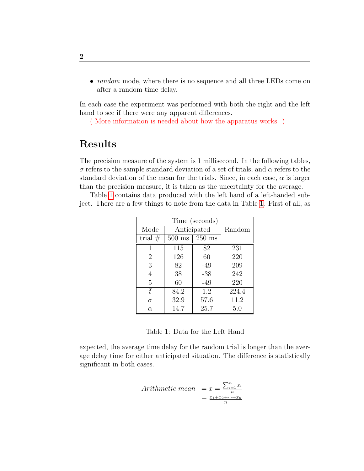• *random* mode, where there is no sequence and all three LEDs come on after a random time delay.

In each case the experiment was performed with both the right and the left hand to see if there were any apparent differences.

( More information is needed about how the apparatus works. )

#### Results

The precision measure of the system is 1 millisecond. In the following tables,  $\sigma$  refers to the sample standard deviation of a set of trials, and  $\alpha$  refers to the standard deviation of the mean for the trials. Since, in each case,  $\alpha$  is larger than the precision measure, it is taken as the uncertainty for the average.

Table [1](#page-1-0) contains data produced with the left hand of a left-handed subject. There are a few things to note from the data in Table [1.](#page-1-0) First of all, as

| Time (seconds) |             |                  |        |  |  |
|----------------|-------------|------------------|--------|--|--|
| Mode           | Anticipated |                  | Random |  |  |
| trial $#$      | $500$ ms    | $250 \text{ ms}$ |        |  |  |
| 1              | 115         | 82               | 231    |  |  |
| $\overline{2}$ | 126         | 60               | 220    |  |  |
| 3              | 82          | $-49$            | 209    |  |  |
| $\overline{4}$ | 38          | $-38$            | 242    |  |  |
| 5              | 60          | $-49$            | 220    |  |  |
| $\bar{t}$      | 84.2        | 1.2              | 224.4  |  |  |
| $\sigma$       | 32.9        | 57.6             | 11.2   |  |  |
| $\alpha$       | 14.7        | 25.7             | 5.0    |  |  |

<span id="page-1-0"></span>Table 1: Data for the Left Hand

expected, the average time delay for the random trial is longer than the average delay time for either anticipated situation. The difference is statistically significant in both cases.

Arithmetic mean 
$$
= \overline{x} = \frac{\sum_{i=1}^{n} x_i}{n}
$$
  
 $= \frac{x_1 + x_2 + \dots + x_n}{n}$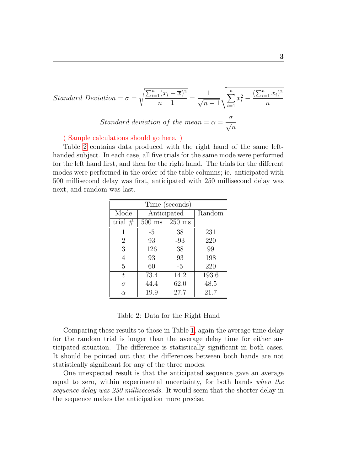Standard Deviation = 
$$
\sigma = \sqrt{\frac{\sum_{i=1}^{n} (x_i - \overline{x})^2}{n-1}} = \frac{1}{\sqrt{n-1}} \sqrt{\sum_{i=1}^{n} x_i^2 - \frac{(\sum_{i=1}^{n} x_i)^2}{n}}
$$
  
Standard deviation of the mean =  $\alpha = \frac{\sigma}{\sqrt{n}}$ 

( Sample calculations should go here. )

Table [2](#page-2-0) contains data produced with the right hand of the same lefthanded subject. In each case, all five trials for the same mode were performed for the left hand first, and then for the right hand. The trials for the different modes were performed in the order of the table columns; ie. anticipated with 500 millisecond delay was first, anticipated with 250 millisecond delay was next, and random was last.

| Time (seconds) |                  |                    |        |  |  |
|----------------|------------------|--------------------|--------|--|--|
| Mode           | Anticipated      |                    | Random |  |  |
| trial $#$      | $500 \text{ ms}$ | $250\ \mathrm{ms}$ |        |  |  |
| 1              | -5               | 38                 | 231    |  |  |
| $\overline{2}$ | 93               | $-93$              | 220    |  |  |
| 3              | 126              | 38                 | 99     |  |  |
| 4              | 93               | 93                 | 198    |  |  |
| 5              | 60               | $-5$               | 220    |  |  |
| $\bar{t}$      | 73.4             | 14.2               | 193.6  |  |  |
| $\sigma$       | 44.4             | 62.0               | 48.5   |  |  |
| $\alpha$       | 19.9             | 27.7               | 21.7   |  |  |

<span id="page-2-0"></span>Table 2: Data for the Right Hand

Comparing these results to those in Table [1,](#page-1-0) again the average time delay for the random trial is longer than the average delay time for either anticipated situation. The difference is statistically significant in both cases. It should be pointed out that the differences between both hands are not statistically significant for any of the three modes.

One unexpected result is that the anticipated sequence gave an average equal to zero, within experimental uncertainty, for both hands when the sequence delay was 250 milliseconds. It would seem that the shorter delay in the sequence makes the anticipation more precise.